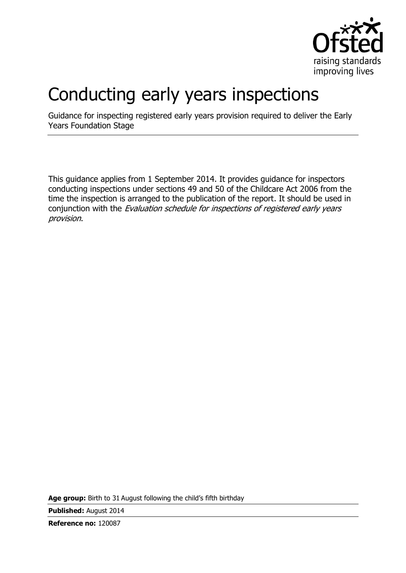

# Conducting early years inspections

Guidance for inspecting registered early years provision required to deliver the Early Years Foundation Stage

This guidance applies from 1 September 2014. It provides guidance for inspectors conducting inspections under sections 49 and 50 of the Childcare Act 2006 from the time the inspection is arranged to the publication of the report. It should be used in conjunction with the Evaluation schedule for inspections of registered early years provision.

**Age group:** Birth to 31 August following the child's fifth birthday

**Published:** August 2014

**Reference no:** 120087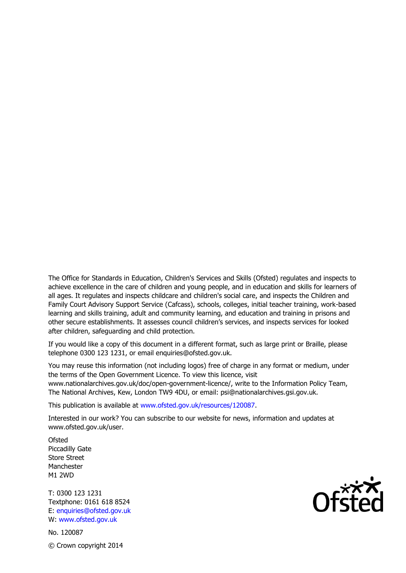The Office for Standards in Education, Children's Services and Skills (Ofsted) regulates and inspects to achieve excellence in the care of children and young people, and in education and skills for learners of all ages. It regulates and inspects childcare and children's social care, and inspects the Children and Family Court Advisory Support Service (Cafcass), schools, colleges, initial teacher training, work-based learning and skills training, adult and community learning, and education and training in prisons and other secure establishments. It assesses council children's services, and inspects services for looked after children, safeguarding and child protection.

If you would like a copy of this document in a different format, such as large print or Braille, please telephone 0300 123 1231, or email enquiries@ofsted.gov.uk.

You may reuse this information (not including logos) free of charge in any format or medium, under the terms of the Open Government Licence. To view this licence, visit www.nationalarchives.gov.uk/doc/open-government-licence/, write to the Information Policy Team, The National Archives, Kew, London TW9 4DU, or email: psi@nationalarchives.gsi.gov.uk.

This publication is available at www.ofsted.gov.uk/resources/120087.

Interested in our work? You can subscribe to our website for news, information and updates at www.ofsted.gov.uk/user.

**Ofsted** Piccadilly Gate Store Street Manchester M1 2WD

T: 0300 123 1231 Textphone: 0161 618 8524 E: enquiries@ofsted.gov.uk W: www.ofsted.gov.uk

No. 120087 © Crown copyright 2014

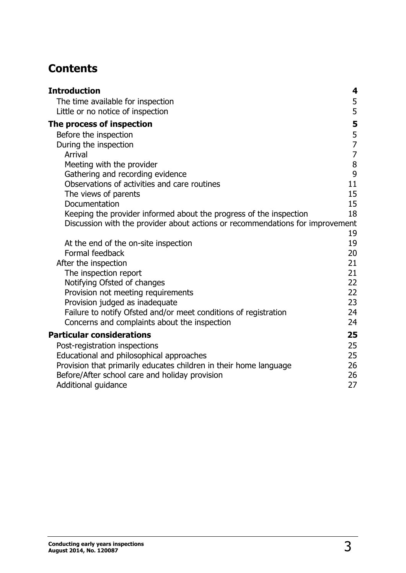# **Contents**

| <b>Introduction</b>                                                                                                                                 | 4                |
|-----------------------------------------------------------------------------------------------------------------------------------------------------|------------------|
| The time available for inspection                                                                                                                   | 5                |
| Little or no notice of inspection                                                                                                                   | 5                |
| The process of inspection                                                                                                                           | 5                |
| Before the inspection                                                                                                                               | $\frac{5}{7}$    |
| During the inspection                                                                                                                               |                  |
| Arrival                                                                                                                                             | $\boldsymbol{7}$ |
| Meeting with the provider                                                                                                                           | 8                |
| Gathering and recording evidence                                                                                                                    | $\mathbf{9}$     |
| Observations of activities and care routines                                                                                                        | 11               |
| The views of parents                                                                                                                                | 15               |
| Documentation                                                                                                                                       | 15<br>18         |
| Keeping the provider informed about the progress of the inspection<br>Discussion with the provider about actions or recommendations for improvement |                  |
|                                                                                                                                                     | 19               |
| At the end of the on-site inspection                                                                                                                | 19               |
| Formal feedback                                                                                                                                     | 20               |
| After the inspection                                                                                                                                | 21               |
| The inspection report                                                                                                                               | 21               |
| Notifying Ofsted of changes                                                                                                                         | 22               |
| Provision not meeting requirements                                                                                                                  | 22               |
| Provision judged as inadequate                                                                                                                      | 23               |
| Failure to notify Ofsted and/or meet conditions of registration                                                                                     | 24               |
| Concerns and complaints about the inspection                                                                                                        | 24               |
| <b>Particular considerations</b>                                                                                                                    | 25               |
| Post-registration inspections                                                                                                                       | 25               |
| Educational and philosophical approaches                                                                                                            | 25               |
| Provision that primarily educates children in their home language                                                                                   | 26               |
| Before/After school care and holiday provision                                                                                                      | 26               |
| Additional guidance                                                                                                                                 | 27               |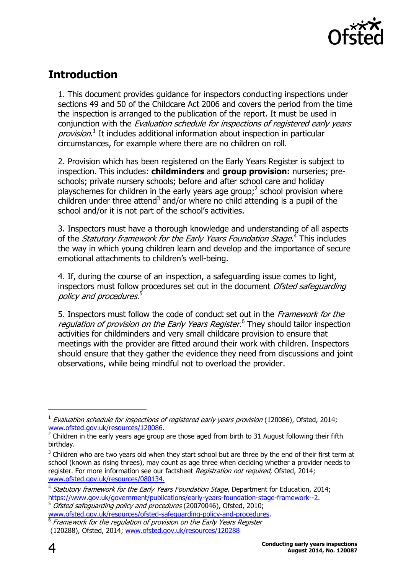

# <span id="page-3-0"></span>**Introduction**

1. This document provides guidance for inspectors conducting inspections under sections 49 and 50 of the Childcare Act 2006 and covers the period from the time the inspection is arranged to the publication of the report. It must be used in conjunction with the *Evaluation schedule for inspections of registered early years* provision.<sup>1</sup> It includes additional information about inspection in particular circumstances, for example where there are no children on roll.

2. Provision which has been registered on the Early Years Register is subject to inspection. This includes: **childminders** and **group provision:** nurseries; preschools; private nursery schools; before and after school care and holiday playschemes for children in the early years age group;<sup>2</sup> school provision where children under three attend<sup>3</sup> and/or where no child attending is a pupil of the school and/or it is not part of the school's activities.

3. Inspectors must have a thorough knowledge and understanding of all aspects of the *Statutory framework for the Early Years Foundation Stage*.<sup>4</sup> This includes the way in which young children learn and develop and the importance of secure emotional attachments to children's well-being.

4. If, during the course of an inspection, a safeguarding issue comes to light, inspectors must follow procedures set out in the document *Ofsted safequarding* policy and procedures.<sup>5</sup>

5. Inspectors must follow the code of conduct set out in the Framework for the regulation of provision on the Early Years Register.<sup>6</sup> They should tailor inspection activities for childminders and very small childcare provision to ensure that meetings with the provider are fitted around their work with children. Inspectors should ensure that they gather the evidence they need from discussions and joint observations, while being mindful not to overload the provider.

j

 $<sup>1</sup>$  Evaluation schedule for inspections of registered early years provision (120086), Ofsted, 2014;</sup> [www.ofsted.gov.uk/resources/120086.](http://www.ofsted.gov.uk/resources/120086)<br><sup>2</sup> Children in the early vears ago group

Children in the early years age group are those aged from birth to 31 August following their fifth birthday.

 $3$  Children who are two years old when they start school but are three by the end of their first term at school (known as rising threes), may count as age three when deciding whether a provider needs to register. For more information see our factsheet Registration not required, Ofsted, 2014; [www.ofsted.gov.uk/resources/080134.](http://www.ofsted.gov.uk/resources/factsheet-childcare-registration-not-required)

<sup>&</sup>lt;sup>4</sup> Statutory framework for the Early Years Foundation Stage, Department for Education, 2014; [https://www.gov.uk/government/publications/early-years-foundation-stage-framework--2.](https://www.gov.uk/government/publications/early-years-foundation-stage-framework--2)

<sup>5</sup> Ofsted safeguarding policy and procedures (20070046), Ofsted, 2010;

[www.ofsted.gov.uk/resources/ofsted-safeguarding-policy-and-procedures.](http://www.ofsted.gov.uk/resources/ofsted-safeguarding-policy-and-procedures) 6 Framework for the regulation of provision on the Early Years Register (120288), Ofsted, 2014; [www.ofsted.gov.uk/resources/120288](http://www.ofsted.gov.uk/resources/framework-for-regulation-of-provision-early-years-register)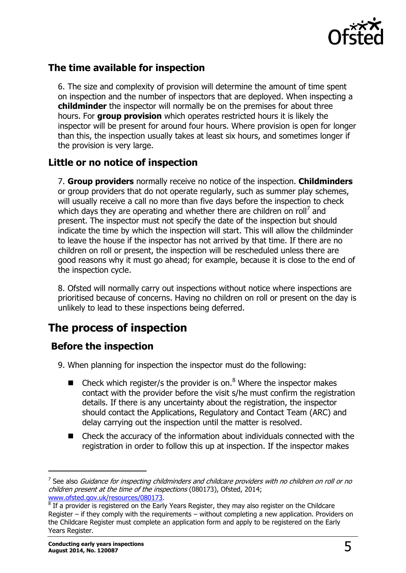

## <span id="page-4-0"></span>**The time available for inspection**

6. The size and complexity of provision will determine the amount of time spent on inspection and the number of inspectors that are deployed. When inspecting a **childminder** the inspector will normally be on the premises for about three hours. For **group provision** which operates restricted hours it is likely the inspector will be present for around four hours. Where provision is open for longer than this, the inspection usually takes at least six hours, and sometimes longer if the provision is very large.

## <span id="page-4-1"></span>**Little or no notice of inspection**

7. **Group providers** normally receive no notice of the inspection. **Childminders** or group providers that do not operate regularly, such as summer play schemes, will usually receive a call no more than five days before the inspection to check which days they are operating and whether there are children on roll<sup>7</sup> and present. The inspector must not specify the date of the inspection but should indicate the time by which the inspection will start. This will allow the childminder to leave the house if the inspector has not arrived by that time. If there are no children on roll or present, the inspection will be rescheduled unless there are good reasons why it must go ahead; for example, because it is close to the end of the inspection cycle.

8. Ofsted will normally carry out inspections without notice where inspections are prioritised because of concerns. Having no children on roll or present on the day is unlikely to lead to these inspections being deferred.

# <span id="page-4-2"></span>**The process of inspection**

## <span id="page-4-3"></span>**Before the inspection**

- 9. When planning for inspection the inspector must do the following:
	- $\blacksquare$  Check which register/s the provider is on.<sup>8</sup> Where the inspector makes contact with the provider before the visit s/he must confirm the registration details. If there is any uncertainty about the registration, the inspector should contact the Applications, Regulatory and Contact Team (ARC) and delay carrying out the inspection until the matter is resolved.
	- Check the accuracy of the information about individuals connected with the registration in order to follow this up at inspection. If the inspector makes

-

 $^7$  See also *Guidance for inspecting childminders and childcare providers with no children on roll or no* children present at the time of the inspections (080173), Ofsted, 2014; [www.ofsted.gov.uk/resources/080173.](http://www.ofsted.gov.uk/resources/080173)

 $8$  If a provider is registered on the Early Years Register, they may also register on the Childcare Register – if they comply with the requirements – without completing a new application. Providers on the Childcare Register must complete an application form and apply to be registered on the Early Years Register.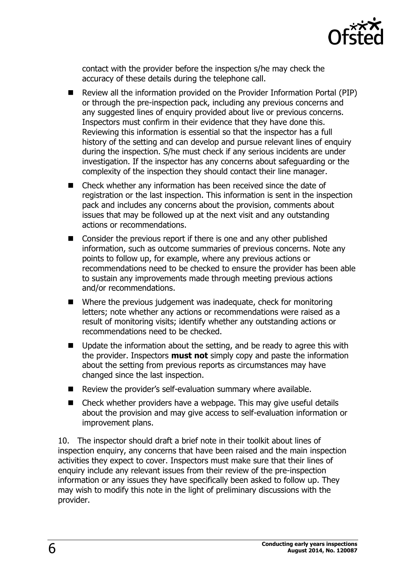

contact with the provider before the inspection s/he may check the accuracy of these details during the telephone call.

- Review all the information provided on the Provider Information Portal (PIP) or through the pre-inspection pack, including any previous concerns and any suggested lines of enquiry provided about live or previous concerns. Inspectors must confirm in their evidence that they have done this. Reviewing this information is essential so that the inspector has a full history of the setting and can develop and pursue relevant lines of enquiry during the inspection. S/he must check if any serious incidents are under investigation. If the inspector has any concerns about safeguarding or the complexity of the inspection they should contact their line manager.
- Check whether any information has been received since the date of registration or the last inspection. This information is sent in the inspection pack and includes any concerns about the provision, comments about issues that may be followed up at the next visit and any outstanding actions or recommendations.
- Consider the previous report if there is one and any other published information, such as outcome summaries of previous concerns. Note any points to follow up, for example, where any previous actions or recommendations need to be checked to ensure the provider has been able to sustain any improvements made through meeting previous actions and/or recommendations.
- Where the previous judgement was inadequate, check for monitoring letters; note whether any actions or recommendations were raised as a result of monitoring visits; identify whether any outstanding actions or recommendations need to be checked.
- Update the information about the setting, and be ready to agree this with the provider. Inspectors **must not** simply copy and paste the information about the setting from previous reports as circumstances may have changed since the last inspection.
- Review the provider's self-evaluation summary where available.
- Check whether providers have a webpage. This may give useful details about the provision and may give access to self-evaluation information or improvement plans.

10. The inspector should draft a brief note in their toolkit about lines of inspection enquiry, any concerns that have been raised and the main inspection activities they expect to cover. Inspectors must make sure that their lines of enquiry include any relevant issues from their review of the pre-inspection information or any issues they have specifically been asked to follow up. They may wish to modify this note in the light of preliminary discussions with the provider.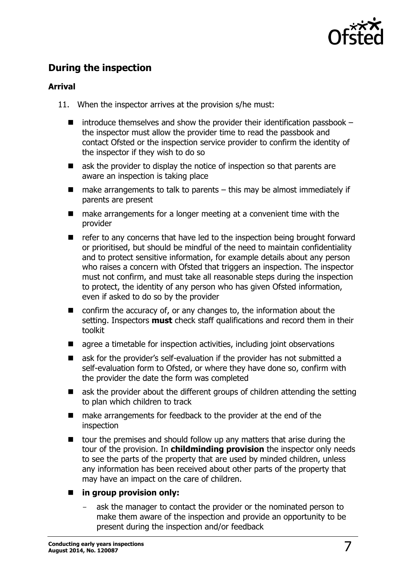

# <span id="page-6-0"></span>**During the inspection**

#### <span id="page-6-1"></span>**Arrival**

- 11. When the inspector arrives at the provision s/he must:
	- $\blacksquare$  introduce themselves and show the provider their identification passbook the inspector must allow the provider time to read the passbook and contact Ofsted or the inspection service provider to confirm the identity of the inspector if they wish to do so
	- $\blacksquare$  ask the provider to display the notice of inspection so that parents are aware an inspection is taking place
	- $\blacksquare$  make arrangements to talk to parents this may be almost immediately if parents are present
	- make arrangements for a longer meeting at a convenient time with the provider
	- refer to any concerns that have led to the inspection being brought forward or prioritised, but should be mindful of the need to maintain confidentiality and to protect sensitive information, for example details about any person who raises a concern with Ofsted that triggers an inspection. The inspector must not confirm, and must take all reasonable steps during the inspection to protect, the identity of any person who has given Ofsted information, even if asked to do so by the provider
	- $\blacksquare$  confirm the accuracy of, or any changes to, the information about the setting. Inspectors **must** check staff qualifications and record them in their toolkit
	- agree a timetable for inspection activities, including joint observations
	- ask for the provider's self-evaluation if the provider has not submitted a self-evaluation form to Ofsted, or where they have done so, confirm with the provider the date the form was completed
	- ask the provider about the different groups of children attending the setting to plan which children to track
	- make arrangements for feedback to the provider at the end of the inspection
	- $\blacksquare$  tour the premises and should follow up any matters that arise during the tour of the provision. In **childminding provision** the inspector only needs to see the parts of the property that are used by minded children, unless any information has been received about other parts of the property that may have an impact on the care of children.

#### **in group provision only:**

ask the manager to contact the provider or the nominated person to make them aware of the inspection and provide an opportunity to be present during the inspection and/or feedback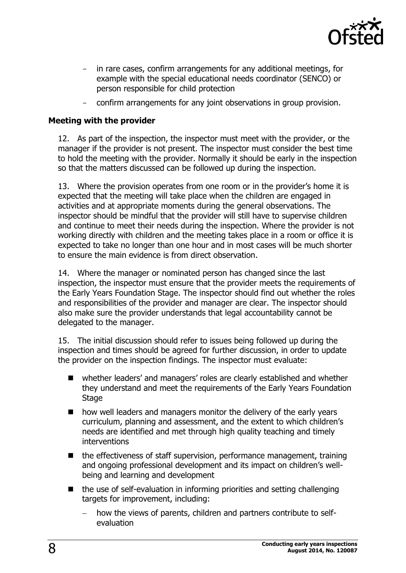

- in rare cases, confirm arrangements for any additional meetings, for example with the special educational needs coordinator (SENCO) or person responsible for child protection
- confirm arrangements for any joint observations in group provision.

#### <span id="page-7-0"></span>**Meeting with the provider**

12. As part of the inspection, the inspector must meet with the provider, or the manager if the provider is not present. The inspector must consider the best time to hold the meeting with the provider. Normally it should be early in the inspection so that the matters discussed can be followed up during the inspection.

13. Where the provision operates from one room or in the provider's home it is expected that the meeting will take place when the children are engaged in activities and at appropriate moments during the general observations. The inspector should be mindful that the provider will still have to supervise children and continue to meet their needs during the inspection. Where the provider is not working directly with children and the meeting takes place in a room or office it is expected to take no longer than one hour and in most cases will be much shorter to ensure the main evidence is from direct observation.

14. Where the manager or nominated person has changed since the last inspection, the inspector must ensure that the provider meets the requirements of the Early Years Foundation Stage. The inspector should find out whether the roles and responsibilities of the provider and manager are clear. The inspector should also make sure the provider understands that legal accountability cannot be delegated to the manager.

15. The initial discussion should refer to issues being followed up during the inspection and times should be agreed for further discussion, in order to update the provider on the inspection findings. The inspector must evaluate:

- whether leaders' and managers' roles are clearly established and whether they understand and meet the requirements of the Early Years Foundation Stage
- how well leaders and managers monitor the delivery of the early years curriculum, planning and assessment, and the extent to which children's needs are identified and met through high quality teaching and timely interventions
- $\blacksquare$  the effectiveness of staff supervision, performance management, training and ongoing professional development and its impact on children's wellbeing and learning and development
- $\blacksquare$  the use of self-evaluation in informing priorities and setting challenging targets for improvement, including:
	- how the views of parents, children and partners contribute to selfevaluation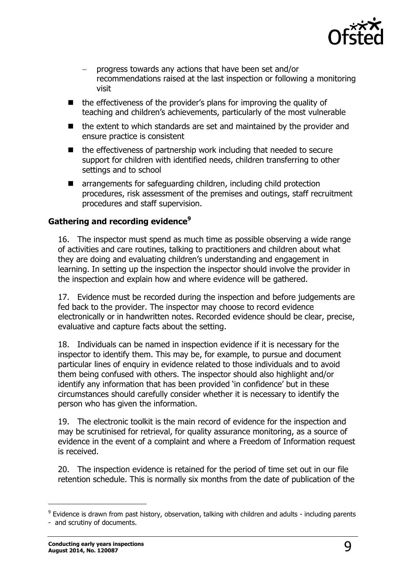

- progress towards any actions that have been set and/or recommendations raised at the last inspection or following a monitoring visit
- the effectiveness of the provider's plans for improving the quality of teaching and children's achievements, particularly of the most vulnerable
- $\blacksquare$  the extent to which standards are set and maintained by the provider and ensure practice is consistent
- $\blacksquare$  the effectiveness of partnership work including that needed to secure support for children with identified needs, children transferring to other settings and to school
- arrangements for safeguarding children, including child protection procedures, risk assessment of the premises and outings, staff recruitment procedures and staff supervision.

#### <span id="page-8-0"></span>**Gathering and recording evidence<sup>9</sup>**

16. The inspector must spend as much time as possible observing a wide range of activities and care routines, talking to practitioners and children about what they are doing and evaluating children's understanding and engagement in learning. In setting up the inspection the inspector should involve the provider in the inspection and explain how and where evidence will be gathered.

17. Evidence must be recorded during the inspection and before judgements are fed back to the provider. The inspector may choose to record evidence electronically or in handwritten notes. Recorded evidence should be clear, precise, evaluative and capture facts about the setting.

18. Individuals can be named in inspection evidence if it is necessary for the inspector to identify them. This may be, for example, to pursue and document particular lines of enquiry in evidence related to those individuals and to avoid them being confused with others. The inspector should also highlight and/or identify any information that has been provided 'in confidence' but in these circumstances should carefully consider whether it is necessary to identify the person who has given the information.

19. The electronic toolkit is the main record of evidence for the inspection and may be scrutinised for retrieval, for quality assurance monitoring, as a source of evidence in the event of a complaint and where a Freedom of Information request is received.

20. The inspection evidence is retained for the period of time set out in our file retention schedule. This is normally six months from the date of publication of the

-

<sup>&</sup>lt;sup>9</sup> Evidence is drawn from past history, observation, talking with children and adults - including parents - and scrutiny of documents.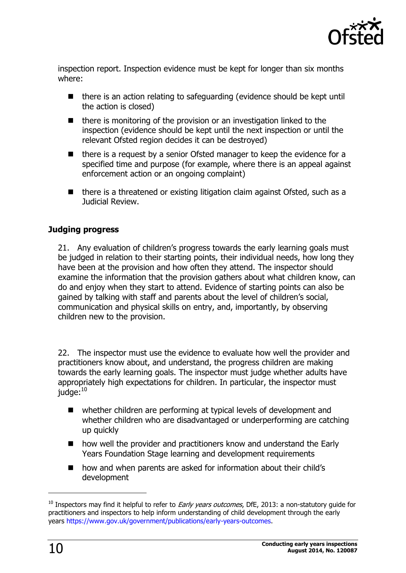

inspection report. Inspection evidence must be kept for longer than six months where:

- there is an action relating to safeguarding (evidence should be kept until the action is closed)
- $\blacksquare$  there is monitoring of the provision or an investigation linked to the inspection (evidence should be kept until the next inspection or until the relevant Ofsted region decides it can be destroyed)
- there is a request by a senior Ofsted manager to keep the evidence for a specified time and purpose (for example, where there is an appeal against enforcement action or an ongoing complaint)
- $\blacksquare$  there is a threatened or existing litigation claim against Ofsted, such as a Judicial Review.

#### **Judging progress**

21. Any evaluation of children's progress towards the early learning goals must be judged in relation to their starting points, their individual needs, how long they have been at the provision and how often they attend. The inspector should examine the information that the provision gathers about what children know, can do and enjoy when they start to attend. Evidence of starting points can also be gained by talking with staff and parents about the level of children's social, communication and physical skills on entry, and, importantly, by observing children new to the provision.

22. The inspector must use the evidence to evaluate how well the provider and practitioners know about, and understand, the progress children are making towards the early learning goals. The inspector must judge whether adults have appropriately high expectations for children. In particular, the inspector must judge:<sup>10</sup>

- whether children are performing at typical levels of development and whether children who are disadvantaged or underperforming are catching up quickly
- how well the provider and practitioners know and understand the Early Years Foundation Stage learning and development requirements
- how and when parents are asked for information about their child's development

j

 $10$  Inspectors may find it helpful to refer to *Early years outcomes*, DfE, 2013: a non-statutory guide for practitioners and inspectors to help inform understanding of child development through the early years [https://www.gov.uk/government/publications/early-years-outcomes.](https://www.gov.uk/government/publications/early-years-outcomes)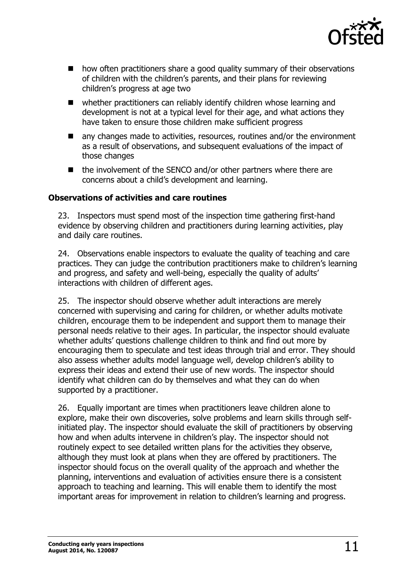

- how often practitioners share a good quality summary of their observations of children with the children's parents, and their plans for reviewing children's progress at age two
- whether practitioners can reliably identify children whose learning and development is not at a typical level for their age, and what actions they have taken to ensure those children make sufficient progress
- any changes made to activities, resources, routines and/or the environment as a result of observations, and subsequent evaluations of the impact of those changes
- the involvement of the SENCO and/or other partners where there are concerns about a child's development and learning.

#### <span id="page-10-0"></span>**Observations of activities and care routines**

23. Inspectors must spend most of the inspection time gathering first-hand evidence by observing children and practitioners during learning activities, play and daily care routines.

24. Observations enable inspectors to evaluate the quality of teaching and care practices. They can judge the contribution practitioners make to children's learning and progress, and safety and well-being, especially the quality of adults' interactions with children of different ages.

25. The inspector should observe whether adult interactions are merely concerned with supervising and caring for children, or whether adults motivate children, encourage them to be independent and support them to manage their personal needs relative to their ages. In particular, the inspector should evaluate whether adults' questions challenge children to think and find out more by encouraging them to speculate and test ideas through trial and error. They should also assess whether adults model language well, develop children's ability to express their ideas and extend their use of new words. The inspector should identify what children can do by themselves and what they can do when supported by a practitioner.

26. Equally important are times when practitioners leave children alone to explore, make their own discoveries, solve problems and learn skills through selfinitiated play. The inspector should evaluate the skill of practitioners by observing how and when adults intervene in children's play. The inspector should not routinely expect to see detailed written plans for the activities they observe, although they must look at plans when they are offered by practitioners. The inspector should focus on the overall quality of the approach and whether the planning, interventions and evaluation of activities ensure there is a consistent approach to teaching and learning. This will enable them to identify the most important areas for improvement in relation to children's learning and progress.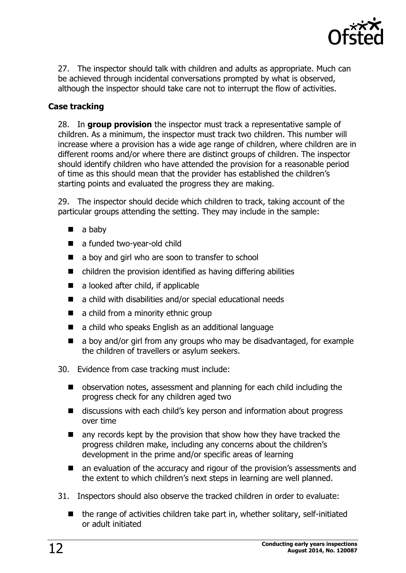

27. The inspector should talk with children and adults as appropriate. Much can be achieved through incidental conversations prompted by what is observed, although the inspector should take care not to interrupt the flow of activities.

#### **Case tracking**

28. In **group provision** the inspector must track a representative sample of children. As a minimum, the inspector must track two children. This number will increase where a provision has a wide age range of children, where children are in different rooms and/or where there are distinct groups of children. The inspector should identify children who have attended the provision for a reasonable period of time as this should mean that the provider has established the children's starting points and evaluated the progress they are making.

29. The inspector should decide which children to track, taking account of the particular groups attending the setting. They may include in the sample:

- $\blacksquare$  a baby
- a funded two-year-old child
- a boy and girl who are soon to transfer to school
- $\blacksquare$  children the provision identified as having differing abilities
- a looked after child, if applicable
- a child with disabilities and/or special educational needs
- a child from a minority ethnic group
- a child who speaks English as an additional language
- $\blacksquare$  a boy and/or girl from any groups who may be disadvantaged, for example the children of travellers or asylum seekers.
- 30. Evidence from case tracking must include:
	- observation notes, assessment and planning for each child including the progress check for any children aged two
	- discussions with each child's key person and information about progress over time
	- any records kept by the provision that show how they have tracked the progress children make, including any concerns about the children's development in the prime and/or specific areas of learning
	- an evaluation of the accuracy and rigour of the provision's assessments and the extent to which children's next steps in learning are well planned.
- 31. Inspectors should also observe the tracked children in order to evaluate:
	- $\blacksquare$  the range of activities children take part in, whether solitary, self-initiated or adult initiated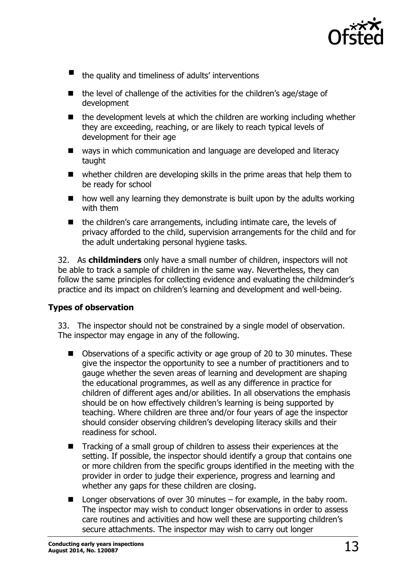

- the quality and timeliness of adults' interventions
- the level of challenge of the activities for the children's age/stage of development
- $\blacksquare$  the development levels at which the children are working including whether they are exceeding, reaching, or are likely to reach typical levels of development for their age
- ways in which communication and language are developed and literacy taught
- whether children are developing skills in the prime areas that help them to be ready for school
- $\blacksquare$  how well any learning they demonstrate is built upon by the adults working with them
- the children's care arrangements, including intimate care, the levels of privacy afforded to the child, supervision arrangements for the child and for the adult undertaking personal hygiene tasks.

32. As **childminders** only have a small number of children, inspectors will not be able to track a sample of children in the same way. Nevertheless, they can follow the same principles for collecting evidence and evaluating the childminder's practice and its impact on children's learning and development and well-being.

#### **Types of observation**

33. The inspector should not be constrained by a single model of observation. The inspector may engage in any of the following.

- Observations of a specific activity or age group of 20 to 30 minutes. These give the inspector the opportunity to see a number of practitioners and to gauge whether the seven areas of learning and development are shaping the educational programmes, as well as any difference in practice for children of different ages and/or abilities. In all observations the emphasis should be on how effectively children's learning is being supported by teaching. Where children are three and/or four years of age the inspector should consider observing children's developing literacy skills and their readiness for school.
- Tracking of a small group of children to assess their experiences at the setting. If possible, the inspector should identify a group that contains one or more children from the specific groups identified in the meeting with the provider in order to judge their experience, progress and learning and whether any gaps for these children are closing.
- $\blacksquare$  Longer observations of over 30 minutes for example, in the baby room. The inspector may wish to conduct longer observations in order to assess care routines and activities and how well these are supporting children's secure attachments. The inspector may wish to carry out longer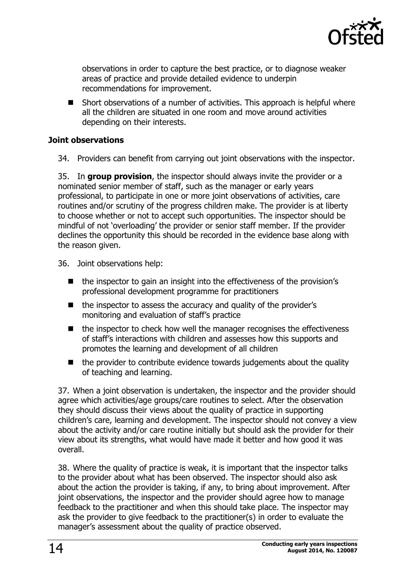

observations in order to capture the best practice, or to diagnose weaker areas of practice and provide detailed evidence to underpin recommendations for improvement.

■ Short observations of a number of activities. This approach is helpful where all the children are situated in one room and move around activities depending on their interests.

#### **Joint observations**

34. Providers can benefit from carrying out joint observations with the inspector.

35. In **group provision**, the inspector should always invite the provider or a nominated senior member of staff, such as the manager or early years professional, to participate in one or more joint observations of activities, care routines and/or scrutiny of the progress children make. The provider is at liberty to choose whether or not to accept such opportunities. The inspector should be mindful of not 'overloading' the provider or senior staff member. If the provider declines the opportunity this should be recorded in the evidence base along with the reason given.

- 36. Joint observations help:
	- the inspector to gain an insight into the effectiveness of the provision's professional development programme for practitioners
	- the inspector to assess the accuracy and quality of the provider's monitoring and evaluation of staff's practice
	- $\blacksquare$  the inspector to check how well the manager recognises the effectiveness of staff's interactions with children and assesses how this supports and promotes the learning and development of all children
	- $\blacksquare$  the provider to contribute evidence towards judgements about the quality of teaching and learning.

37. When a joint observation is undertaken, the inspector and the provider should agree which activities/age groups/care routines to select. After the observation they should discuss their views about the quality of practice in supporting children's care, learning and development. The inspector should not convey a view about the activity and/or care routine initially but should ask the provider for their view about its strengths, what would have made it better and how good it was overall.

38. Where the quality of practice is weak, it is important that the inspector talks to the provider about what has been observed. The inspector should also ask about the action the provider is taking, if any, to bring about improvement. After joint observations, the inspector and the provider should agree how to manage feedback to the practitioner and when this should take place. The inspector may ask the provider to give feedback to the practitioner(s) in order to evaluate the manager's assessment about the quality of practice observed.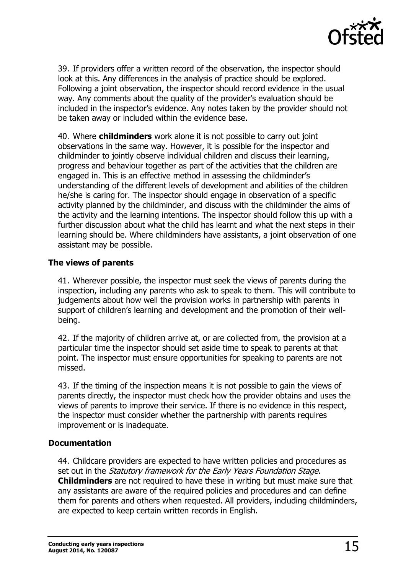

39. If providers offer a written record of the observation, the inspector should look at this. Any differences in the analysis of practice should be explored. Following a joint observation, the inspector should record evidence in the usual way. Any comments about the quality of the provider's evaluation should be included in the inspector's evidence. Any notes taken by the provider should not be taken away or included within the evidence base.

40. Where **childminders** work alone it is not possible to carry out joint observations in the same way. However, it is possible for the inspector and childminder to jointly observe individual children and discuss their learning, progress and behaviour together as part of the activities that the children are engaged in. This is an effective method in assessing the childminder's understanding of the different levels of development and abilities of the children he/she is caring for. The inspector should engage in observation of a specific activity planned by the childminder, and discuss with the childminder the aims of the activity and the learning intentions. The inspector should follow this up with a further discussion about what the child has learnt and what the next steps in their learning should be. Where childminders have assistants, a joint observation of one assistant may be possible.

#### <span id="page-14-0"></span>**The views of parents**

41. Wherever possible, the inspector must seek the views of parents during the inspection, including any parents who ask to speak to them. This will contribute to judgements about how well the provision works in partnership with parents in support of children's learning and development and the promotion of their wellbeing.

42. If the majority of children arrive at, or are collected from, the provision at a particular time the inspector should set aside time to speak to parents at that point. The inspector must ensure opportunities for speaking to parents are not missed.

43. If the timing of the inspection means it is not possible to gain the views of parents directly, the inspector must check how the provider obtains and uses the views of parents to improve their service. If there is no evidence in this respect, the inspector must consider whether the partnership with parents requires improvement or is inadequate.

#### <span id="page-14-1"></span>**Documentation**

44. Childcare providers are expected to have written policies and procedures as set out in the Statutory framework for the Early Years Foundation Stage. **Childminders** are not required to have these in writing but must make sure that any assistants are aware of the required policies and procedures and can define them for parents and others when requested. All providers, including childminders, are expected to keep certain written records in English.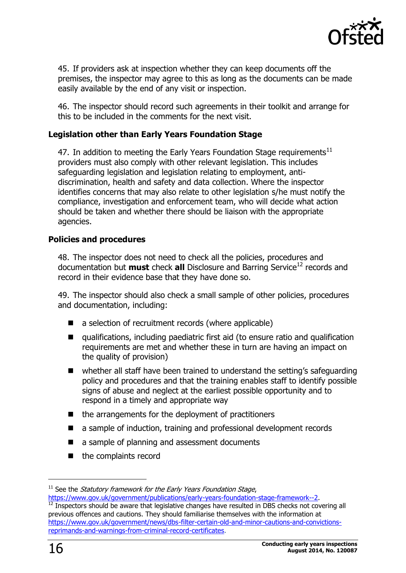

45. If providers ask at inspection whether they can keep documents off the premises, the inspector may agree to this as long as the documents can be made easily available by the end of any visit or inspection.

46. The inspector should record such agreements in their toolkit and arrange for this to be included in the comments for the next visit.

#### **Legislation other than Early Years Foundation Stage**

47. In addition to meeting the Early Years Foundation Stage requirements<sup>11</sup> providers must also comply with other relevant legislation. This includes safeguarding legislation and legislation relating to employment, antidiscrimination, health and safety and data collection. Where the inspector identifies concerns that may also relate to other legislation s/he must notify the compliance, investigation and enforcement team, who will decide what action should be taken and whether there should be liaison with the appropriate agencies.

#### **Policies and procedures**

48. The inspector does not need to check all the policies, procedures and documentation but **must** check **all** Disclosure and Barring Service<sup>12</sup> records and record in their evidence base that they have done so.

49. The inspector should also check a small sample of other policies, procedures and documentation, including:

- a selection of recruitment records (where applicable)
- qualifications, including paediatric first aid (to ensure ratio and qualification requirements are met and whether these in turn are having an impact on the quality of provision)
- whether all staff have been trained to understand the setting's safeguarding policy and procedures and that the training enables staff to identify possible signs of abuse and neglect at the earliest possible opportunity and to respond in a timely and appropriate way
- $\blacksquare$  the arrangements for the deployment of practitioners
- a sample of induction, training and professional development records
- a sample of planning and assessment documents
- the complaints record

-

 $11$  See the *Statutory framework for the Early Years Foundation Stage*, [https://www.gov.uk/government/publications/early-years-foundation-stage-framework--2.](https://www.gov.uk/government/publications/early-years-foundation-stage-framework--2)

 $12$  Inspectors should be aware that legislative changes have resulted in DBS checks not covering all previous offences and cautions. They should familiarise themselves with the information at [https://www.gov.uk/government/news/dbs-filter-certain-old-and-minor-cautions-and-convictions](https://www.gov.uk/government/news/dbs-filter-certain-old-and-minor-cautions-and-convictions-reprimands-and-warnings-from-criminal-record-certificates)[reprimands-and-warnings-from-criminal-record-certificates.](https://www.gov.uk/government/news/dbs-filter-certain-old-and-minor-cautions-and-convictions-reprimands-and-warnings-from-criminal-record-certificates)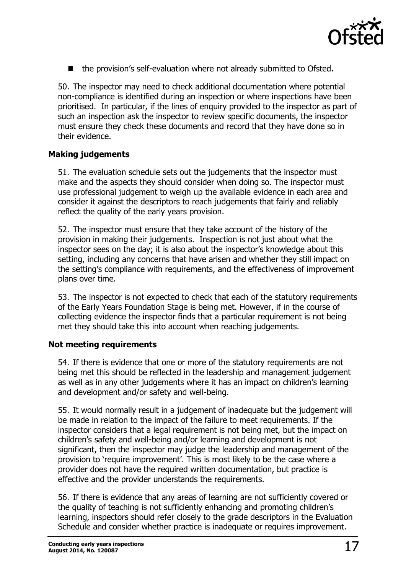

 $\blacksquare$  the provision's self-evaluation where not already submitted to Ofsted.

50. The inspector may need to check additional documentation where potential non-compliance is identified during an inspection or where inspections have been prioritised. In particular, if the lines of enquiry provided to the inspector as part of such an inspection ask the inspector to review specific documents, the inspector must ensure they check these documents and record that they have done so in their evidence.

#### **Making judgements**

51. The evaluation schedule sets out the judgements that the inspector must make and the aspects they should consider when doing so. The inspector must use professional judgement to weigh up the available evidence in each area and consider it against the descriptors to reach judgements that fairly and reliably reflect the quality of the early years provision.

52. The inspector must ensure that they take account of the history of the provision in making their judgements. Inspection is not just about what the inspector sees on the day; it is also about the inspector's knowledge about this setting, including any concerns that have arisen and whether they still impact on the setting's compliance with requirements, and the effectiveness of improvement plans over time.

53. The inspector is not expected to check that each of the statutory requirements of the Early Years Foundation Stage is being met. However, if in the course of collecting evidence the inspector finds that a particular requirement is not being met they should take this into account when reaching judgements.

#### **Not meeting requirements**

54. If there is evidence that one or more of the statutory requirements are not being met this should be reflected in the leadership and management judgement as well as in any other judgements where it has an impact on children's learning and development and/or safety and well-being.

55. It would normally result in a judgement of inadequate but the judgement will be made in relation to the impact of the failure to meet requirements. If the inspector considers that a legal requirement is not being met, but the impact on children's safety and well-being and/or learning and development is not significant, then the inspector may judge the leadership and management of the provision to 'require improvement'. This is most likely to be the case where a provider does not have the required written documentation, but practice is effective and the provider understands the requirements.

56. If there is evidence that any areas of learning are not sufficiently covered or the quality of teaching is not sufficiently enhancing and promoting children's learning, inspectors should refer closely to the grade descriptors in the Evaluation Schedule and consider whether practice is inadequate or requires improvement.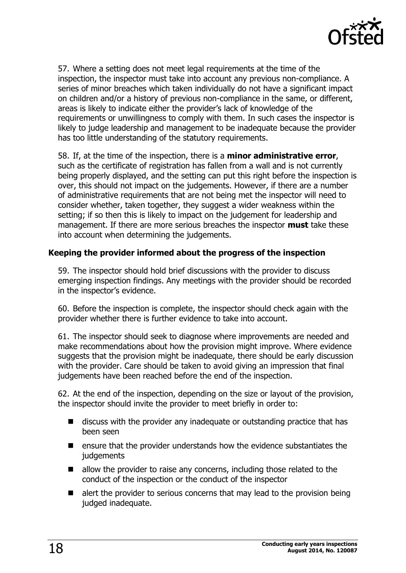

57. Where a setting does not meet legal requirements at the time of the inspection, the inspector must take into account any previous non-compliance. A series of minor breaches which taken individually do not have a significant impact on children and/or a history of previous non-compliance in the same, or different, areas is likely to indicate either the provider's lack of knowledge of the requirements or unwillingness to comply with them. In such cases the inspector is likely to judge leadership and management to be inadequate because the provider has too little understanding of the statutory requirements.

58. If, at the time of the inspection, there is a **minor administrative error**, such as the certificate of registration has fallen from a wall and is not currently being properly displayed, and the setting can put this right before the inspection is over, this should not impact on the judgements. However, if there are a number of administrative requirements that are not being met the inspector will need to consider whether, taken together, they suggest a wider weakness within the setting; if so then this is likely to impact on the judgement for leadership and management. If there are more serious breaches the inspector **must** take these into account when determining the judgements.

#### <span id="page-17-0"></span>**Keeping the provider informed about the progress of the inspection**

59. The inspector should hold brief discussions with the provider to discuss emerging inspection findings. Any meetings with the provider should be recorded in the inspector's evidence.

60. Before the inspection is complete, the inspector should check again with the provider whether there is further evidence to take into account.

61. The inspector should seek to diagnose where improvements are needed and make recommendations about how the provision might improve. Where evidence suggests that the provision might be inadequate, there should be early discussion with the provider. Care should be taken to avoid giving an impression that final judgements have been reached before the end of the inspection.

62. At the end of the inspection, depending on the size or layout of the provision, the inspector should invite the provider to meet briefly in order to:

- $\blacksquare$  discuss with the provider any inadequate or outstanding practice that has been seen
- ensure that the provider understands how the evidence substantiates the judgements
- $\blacksquare$  allow the provider to raise any concerns, including those related to the conduct of the inspection or the conduct of the inspector
- $\blacksquare$  alert the provider to serious concerns that may lead to the provision being judged inadequate.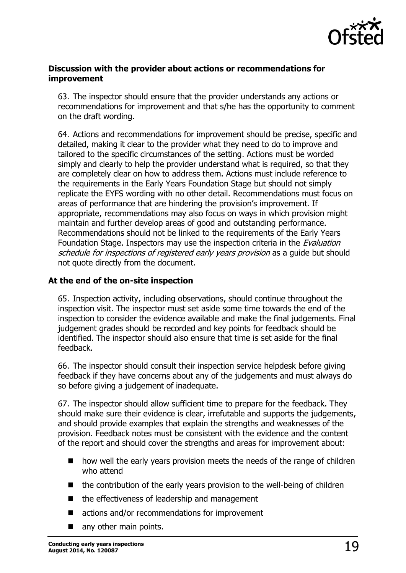

#### <span id="page-18-0"></span>**Discussion with the provider about actions or recommendations for improvement**

63. The inspector should ensure that the provider understands any actions or recommendations for improvement and that s/he has the opportunity to comment on the draft wording.

64. Actions and recommendations for improvement should be precise, specific and detailed, making it clear to the provider what they need to do to improve and tailored to the specific circumstances of the setting. Actions must be worded simply and clearly to help the provider understand what is required, so that they are completely clear on how to address them. Actions must include reference to the requirements in the Early Years Foundation Stage but should not simply replicate the EYFS wording with no other detail. Recommendations must focus on areas of performance that are hindering the provision's improvement. If appropriate, recommendations may also focus on ways in which provision might maintain and further develop areas of good and outstanding performance. Recommendations should not be linked to the requirements of the Early Years Foundation Stage. Inspectors may use the inspection criteria in the Evaluation schedule for inspections of registered early years provision as a guide but should not quote directly from the document.

#### <span id="page-18-1"></span>**At the end of the on-site inspection**

65. Inspection activity, including observations, should continue throughout the inspection visit. The inspector must set aside some time towards the end of the inspection to consider the evidence available and make the final judgements. Final judgement grades should be recorded and key points for feedback should be identified. The inspector should also ensure that time is set aside for the final feedback.

66. The inspector should consult their inspection service helpdesk before giving feedback if they have concerns about any of the judgements and must always do so before giving a judgement of inadequate.

67. The inspector should allow sufficient time to prepare for the feedback. They should make sure their evidence is clear, irrefutable and supports the judgements, and should provide examples that explain the strengths and weaknesses of the provision. Feedback notes must be consistent with the evidence and the content of the report and should cover the strengths and areas for improvement about:

- how well the early years provision meets the needs of the range of children who attend
- the contribution of the early years provision to the well-being of children
- $\blacksquare$  the effectiveness of leadership and management
- actions and/or recommendations for improvement
- any other main points.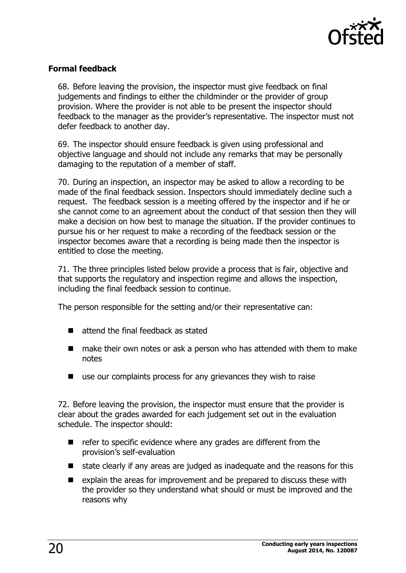

#### <span id="page-19-0"></span>**Formal feedback**

68. Before leaving the provision, the inspector must give feedback on final judgements and findings to either the childminder or the provider of group provision. Where the provider is not able to be present the inspector should feedback to the manager as the provider's representative. The inspector must not defer feedback to another day.

69. The inspector should ensure feedback is given using professional and objective language and should not include any remarks that may be personally damaging to the reputation of a member of staff.

70. During an inspection, an inspector may be asked to allow a recording to be made of the final feedback session. Inspectors should immediately decline such a request. The feedback session is a meeting offered by the inspector and if he or she cannot come to an agreement about the conduct of that session then they will make a decision on how best to manage the situation. If the provider continues to pursue his or her request to make a recording of the feedback session or the inspector becomes aware that a recording is being made then the inspector is entitled to close the meeting.

71. The three principles listed below provide a process that is fair, objective and that supports the regulatory and inspection regime and allows the inspection, including the final feedback session to continue.

The person responsible for the setting and/or their representative can:

- $\blacksquare$  attend the final feedback as stated
- make their own notes or ask a person who has attended with them to make notes
- use our complaints process for any grievances they wish to raise

72. Before leaving the provision, the inspector must ensure that the provider is clear about the grades awarded for each judgement set out in the evaluation schedule. The inspector should:

- $\blacksquare$  refer to specific evidence where any grades are different from the provision's self-evaluation
- state clearly if any areas are judged as inadequate and the reasons for this
- explain the areas for improvement and be prepared to discuss these with the provider so they understand what should or must be improved and the reasons why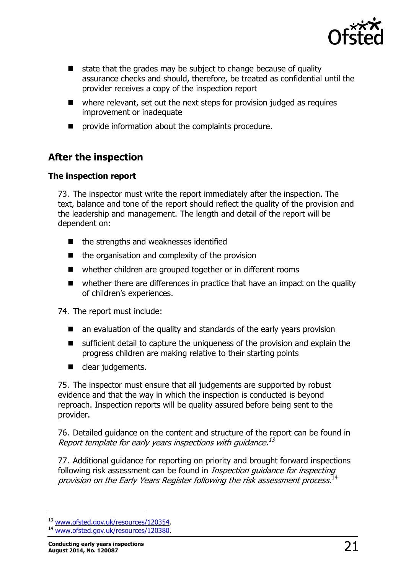

- $\blacksquare$  state that the grades may be subject to change because of quality assurance checks and should, therefore, be treated as confidential until the provider receives a copy of the inspection report
- where relevant, set out the next steps for provision judged as requires improvement or inadequate
- provide information about the complaints procedure.

## <span id="page-20-0"></span>**After the inspection**

#### <span id="page-20-1"></span>**The inspection report**

73. The inspector must write the report immediately after the inspection. The text, balance and tone of the report should reflect the quality of the provision and the leadership and management. The length and detail of the report will be dependent on:

- $\blacksquare$  the strengths and weaknesses identified
- the organisation and complexity of the provision
- whether children are grouped together or in different rooms
- whether there are differences in practice that have an impact on the quality of children's experiences.

74. The report must include:

- an evaluation of the quality and standards of the early years provision
- sufficient detail to capture the uniqueness of the provision and explain the progress children are making relative to their starting points
- clear judgements.

75. The inspector must ensure that all judgements are supported by robust evidence and that the way in which the inspection is conducted is beyond reproach. Inspection reports will be quality assured before being sent to the provider.

76. Detailed guidance on the content and structure of the report can be found in Report template for early years inspections with guidance.<sup>13</sup>

77. Additional guidance for reporting on priority and brought forward inspections following risk assessment can be found in *Inspection guidance for inspecting* provision on the Early Years Register following the risk assessment process. 14

j

<sup>13</sup> [www.ofsted.gov.uk/resources/120354.](http://www.ofsted.gov.uk/resources/report-template-for-early-years-inspections-guidance)

<sup>14</sup> [www.ofsted.gov.uk/resources/120380.](http://www.ofsted.gov.uk/resources/inspection-guidance-for-inspecting-provision-early-years-register-following-risk-assessment-process)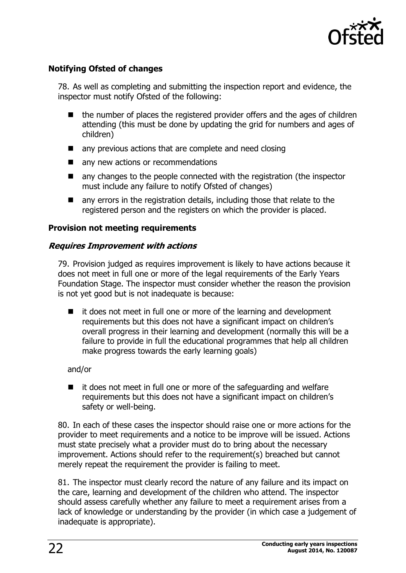

#### <span id="page-21-0"></span>**Notifying Ofsted of changes**

78. As well as completing and submitting the inspection report and evidence, the inspector must notify Ofsted of the following:

- $\blacksquare$  the number of places the registered provider offers and the ages of children attending (this must be done by updating the grid for numbers and ages of children)
- any previous actions that are complete and need closing
- any new actions or recommendations
- $\blacksquare$  any changes to the people connected with the registration (the inspector must include any failure to notify Ofsted of changes)
- any errors in the registration details, including those that relate to the registered person and the registers on which the provider is placed.

#### <span id="page-21-1"></span>**Provision not meeting requirements**

#### **Requires Improvement with actions**

79. Provision judged as requires improvement is likely to have actions because it does not meet in full one or more of the legal requirements of the Early Years Foundation Stage. The inspector must consider whether the reason the provision is not yet good but is not inadequate is because:

 it does not meet in full one or more of the learning and development requirements but this does not have a significant impact on children's overall progress in their learning and development (normally this will be a failure to provide in full the educational programmes that help all children make progress towards the early learning goals)

#### and/or

 $\blacksquare$  it does not meet in full one or more of the safeguarding and welfare requirements but this does not have a significant impact on children's safety or well-being.

80. In each of these cases the inspector should raise one or more actions for the provider to meet requirements and a notice to be improve will be issued. Actions must state precisely what a provider must do to bring about the necessary improvement. Actions should refer to the requirement(s) breached but cannot merely repeat the requirement the provider is failing to meet.

81. The inspector must clearly record the nature of any failure and its impact on the care, learning and development of the children who attend. The inspector should assess carefully whether any failure to meet a requirement arises from a lack of knowledge or understanding by the provider (in which case a judgement of inadequate is appropriate).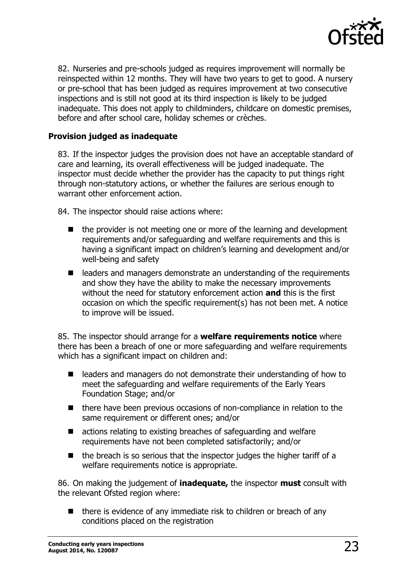

82. Nurseries and pre-schools judged as requires improvement will normally be reinspected within 12 months. They will have two years to get to good. A nursery or pre-school that has been judged as requires improvement at two consecutive inspections and is still not good at its third inspection is likely to be judged inadequate. This does not apply to childminders, childcare on domestic premises, before and after school care, holiday schemes or crèches.

#### <span id="page-22-0"></span>**Provision judged as inadequate**

83. If the inspector judges the provision does not have an acceptable standard of care and learning, its overall effectiveness will be judged inadequate. The inspector must decide whether the provider has the capacity to put things right through non-statutory actions, or whether the failures are serious enough to warrant other enforcement action.

84. The inspector should raise actions where:

- $\blacksquare$  the provider is not meeting one or more of the learning and development requirements and/or safeguarding and welfare requirements and this is having a significant impact on children's learning and development and/or well-being and safety
- leaders and managers demonstrate an understanding of the requirements and show they have the ability to make the necessary improvements without the need for statutory enforcement action **and** this is the first occasion on which the specific requirement(s) has not been met. A notice to improve will be issued.

85. The inspector should arrange for a **welfare requirements notice** where there has been a breach of one or more safeguarding and welfare requirements which has a significant impact on children and:

- leaders and managers do not demonstrate their understanding of how to meet the safeguarding and welfare requirements of the Early Years Foundation Stage; and/or
- there have been previous occasions of non-compliance in relation to the same requirement or different ones; and/or
- actions relating to existing breaches of safeguarding and welfare requirements have not been completed satisfactorily; and/or
- $\blacksquare$  the breach is so serious that the inspector judges the higher tariff of a welfare requirements notice is appropriate.

86. On making the judgement of **inadequate,** the inspector **must** consult with the relevant Ofsted region where:

 $\blacksquare$  there is evidence of any immediate risk to children or breach of any conditions placed on the registration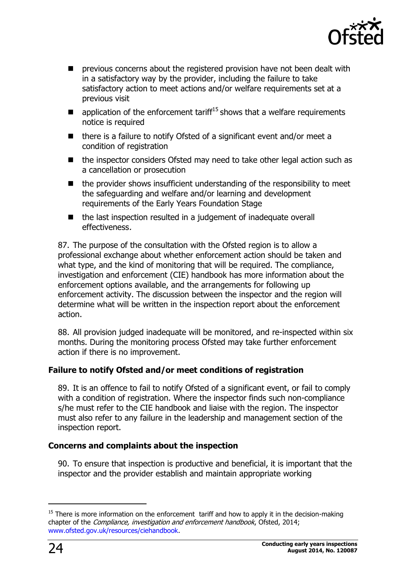

- previous concerns about the registered provision have not been dealt with in a satisfactory way by the provider, including the failure to take satisfactory action to meet actions and/or welfare requirements set at a previous visit
- $\blacksquare$  application of the enforcement tariff<sup>15</sup> shows that a welfare requirements notice is required
- $\blacksquare$  there is a failure to notify Ofsted of a significant event and/or meet a condition of registration
- the inspector considers Ofsted may need to take other legal action such as a cancellation or prosecution
- $\blacksquare$  the provider shows insufficient understanding of the responsibility to meet the safeguarding and welfare and/or learning and development requirements of the Early Years Foundation Stage
- the last inspection resulted in a judgement of inadequate overall effectiveness.

87. The purpose of the consultation with the Ofsted region is to allow a professional exchange about whether enforcement action should be taken and what type, and the kind of monitoring that will be required. The compliance, investigation and enforcement (CIE) handbook has more information about the enforcement options available, and the arrangements for following up enforcement activity. The discussion between the inspector and the region will determine what will be written in the inspection report about the enforcement action.

88. All provision judged inadequate will be monitored, and re-inspected within six months. During the monitoring process Ofsted may take further enforcement action if there is no improvement.

#### <span id="page-23-0"></span>**Failure to notify Ofsted and/or meet conditions of registration**

89. It is an offence to fail to notify Ofsted of a significant event, or fail to comply with a condition of registration. Where the inspector finds such non-compliance s/he must refer to the CIE handbook and liaise with the region. The inspector must also refer to any failure in the leadership and management section of the inspection report.

#### <span id="page-23-1"></span>**Concerns and complaints about the inspection**

90. To ensure that inspection is productive and beneficial, it is important that the inspector and the provider establish and maintain appropriate working

 $\overline{a}$ 

 $15$  There is more information on the enforcement tariff and how to apply it in the decision-making chapter of the Compliance, investigation and enforcement handbook, Ofsted, 2014; [www.ofsted.gov.uk/resources/ciehandbook.](http://www.ofsted.gov.uk/resources/compliance-investigation-and-enforcement-handbook)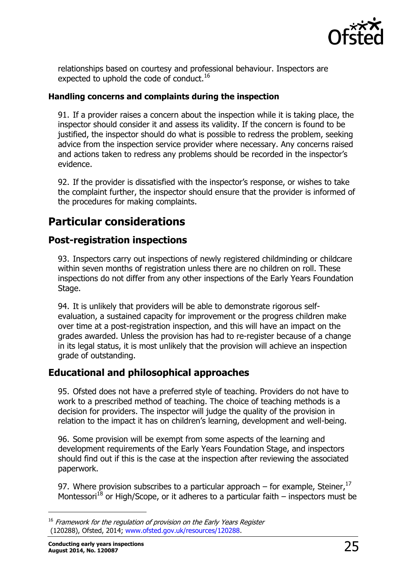

relationships based on courtesy and professional behaviour. Inspectors are expected to uphold the code of conduct.<sup>16</sup>

#### **Handling concerns and complaints during the inspection**

91. If a provider raises a concern about the inspection while it is taking place, the inspector should consider it and assess its validity. If the concern is found to be justified, the inspector should do what is possible to redress the problem, seeking advice from the inspection service provider where necessary. Any concerns raised and actions taken to redress any problems should be recorded in the inspector's evidence.

92. If the provider is dissatisfied with the inspector's response, or wishes to take the complaint further, the inspector should ensure that the provider is informed of the procedures for making complaints.

# <span id="page-24-0"></span>**Particular considerations**

#### <span id="page-24-1"></span>**Post-registration inspections**

93. Inspectors carry out inspections of newly registered childminding or childcare within seven months of registration unless there are no children on roll. These inspections do not differ from any other inspections of the Early Years Foundation Stage.

94. It is unlikely that providers will be able to demonstrate rigorous selfevaluation, a sustained capacity for improvement or the progress children make over time at a post-registration inspection, and this will have an impact on the grades awarded. Unless the provision has had to re-register because of a change in its legal status, it is most unlikely that the provision will achieve an inspection grade of outstanding.

### <span id="page-24-2"></span>**Educational and philosophical approaches**

95. Ofsted does not have a preferred style of teaching. Providers do not have to work to a prescribed method of teaching. The choice of teaching methods is a decision for providers. The inspector will judge the quality of the provision in relation to the impact it has on children's learning, development and well-being.

96. Some provision will be exempt from some aspects of the learning and development requirements of the Early Years Foundation Stage, and inspectors should find out if this is the case at the inspection after reviewing the associated paperwork.

97. Where provision subscribes to a particular approach – for example, Steiner,  $17$ Montessori<sup>18</sup> or High/Scope, or it adheres to a particular faith – inspectors must be

j

<sup>&</sup>lt;sup>16</sup> Framework for the regulation of provision on the Early Years Register (120288), Ofsted, 2014; [www.ofsted.gov.uk/resources/120288.](http://www.ofsted.gov.uk/resources/framework-for-regulation-of-provision-early-years-register)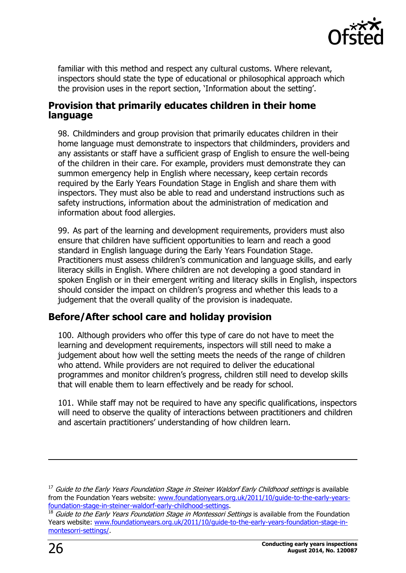

familiar with this method and respect any cultural customs. Where relevant, inspectors should state the type of educational or philosophical approach which the provision uses in the report section, 'Information about the setting'.

#### <span id="page-25-0"></span>**Provision that primarily educates children in their home language**

98. Childminders and group provision that primarily educates children in their home language must demonstrate to inspectors that childminders, providers and any assistants or staff have a sufficient grasp of English to ensure the well-being of the children in their care. For example, providers must demonstrate they can summon emergency help in English where necessary, keep certain records required by the Early Years Foundation Stage in English and share them with inspectors. They must also be able to read and understand instructions such as safety instructions, information about the administration of medication and information about food allergies.

99. As part of the learning and development requirements, providers must also ensure that children have sufficient opportunities to learn and reach a good standard in English language during the Early Years Foundation Stage. Practitioners must assess children's communication and language skills, and early literacy skills in English. Where children are not developing a good standard in spoken English or in their emergent writing and literacy skills in English, inspectors should consider the impact on children's progress and whether this leads to a judgement that the overall quality of the provision is inadequate.

## <span id="page-25-1"></span>**Before/After school care and holiday provision**

100. Although providers who offer this type of care do not have to meet the learning and development requirements, inspectors will still need to make a judgement about how well the setting meets the needs of the range of children who attend. While providers are not required to deliver the educational programmes and monitor children's progress, children still need to develop skills that will enable them to learn effectively and be ready for school.

101. While staff may not be required to have any specific qualifications, inspectors will need to observe the quality of interactions between practitioners and children and ascertain practitioners' understanding of how children learn.

 $\overline{a}$ 

<sup>&</sup>lt;sup>17</sup> Guide to the Early Years Foundation Stage in Steiner Waldorf Early Childhood settings is available from the Foundation Years website: [www.foundationyears.org.uk/2011/10/guide-to-the-early-years](http://www.foundationyears.org.uk/2011/10/guide-to-the-early-years-foundation-stage-in-steiner-waldorf-early-childhood-settings/)[foundation-stage-in-steiner-waldorf-early-childhood-settings.](http://www.foundationyears.org.uk/2011/10/guide-to-the-early-years-foundation-stage-in-steiner-waldorf-early-childhood-settings/)

<sup>18</sup> Guide to the Early Years Foundation Stage in Montessori Settings is available from the Foundation Years website: [www.foundationyears.org.uk/2011/10/guide-to-the-early-years-foundation-stage-in](http://www.foundationyears.org.uk/2011/10/guide-to-the-early-years-foundation-stage-in-montesorri-settings/)[montesorri-settings/.](http://www.foundationyears.org.uk/2011/10/guide-to-the-early-years-foundation-stage-in-montesorri-settings/)